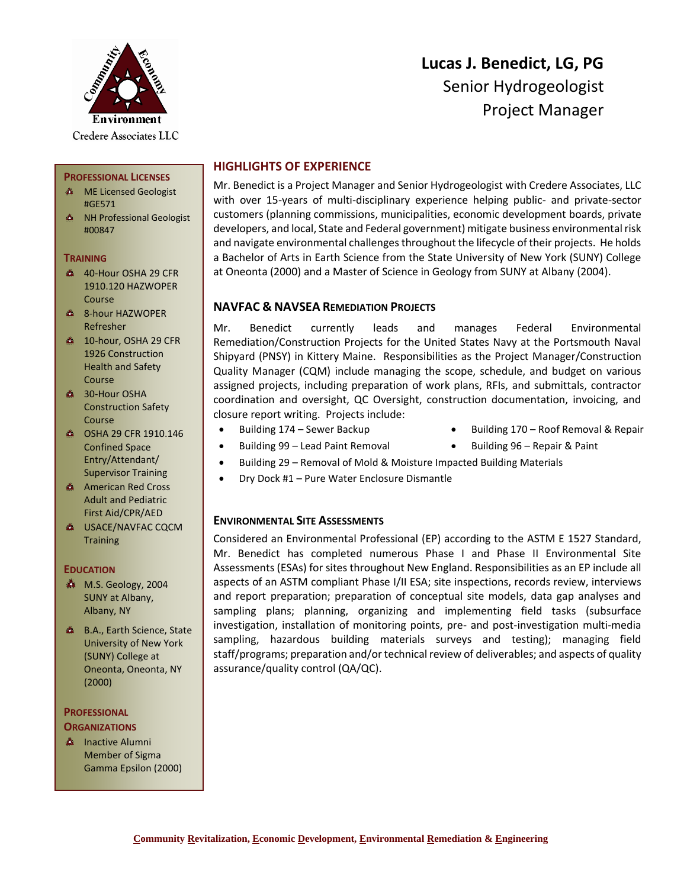

**PROFESSIONAL LICENSES ME Licensed Geologist** 

**A** NH Professional Geologist

40-Hour OSHA 29 CFR 1910.120 HAZWOPER

#GE571

#00847

Course

**TRAINING**

# **Lucas J. Benedict, LG, PG** Senior Hydrogeologist Project Manager

# **HIGHLIGHTS OF EXPERIENCE**

Mr. Benedict is a Project Manager and Senior Hydrogeologist with Credere Associates, LLC with over 15-years of multi-disciplinary experience helping public- and private-sector customers (planning commissions, municipalities, economic development boards, private developers, and local, State and Federal government) mitigate business environmental risk and navigate environmental challenges throughout the lifecycle of their projects. He holds a Bachelor of Arts in Earth Science from the State University of New York (SUNY) College at Oneonta (2000) and a Master of Science in Geology from SUNY at Albany (2004).

## **NAVFAC & NAVSEA REMEDIATION PROJECTS**

Mr. Benedict currently leads and manages Federal Environmental Remediation/Construction Projects for the United States Navy at the Portsmouth Naval Shipyard (PNSY) in Kittery Maine. Responsibilities as the Project Manager/Construction Quality Manager (CQM) include managing the scope, schedule, and budget on various assigned projects, including preparation of work plans, RFIs, and submittals, contractor coordination and oversight, QC Oversight, construction documentation, invoicing, and closure report writing. Projects include:

- 
- Building 174 Sewer Backup Building 170 Roof Removal & Repair
- Building 99 Lead Paint Removal Building 96 Repair & Paint
- 
- Building 29 Removal of Mold & Moisture Impacted Building Materials
- Dry Dock #1 Pure Water Enclosure Dismantle

# **ENVIRONMENTAL SITE ASSESSMENTS**

Considered an Environmental Professional (EP) according to the ASTM E 1527 Standard, Mr. Benedict has completed numerous Phase I and Phase II Environmental Site Assessments (ESAs) for sites throughout New England. Responsibilities as an EP include all aspects of an ASTM compliant Phase I/II ESA; site inspections, records review, interviews and report preparation; preparation of conceptual site models, data gap analyses and sampling plans; planning, organizing and implementing field tasks (subsurface investigation, installation of monitoring points, pre- and post-investigation multi-media sampling, hazardous building materials surveys and testing); managing field staff/programs; preparation and/or technical review of deliverables; and aspects of quality assurance/quality control (QA/QC).

- **4** 8-hour HAZWOPER Refresher <sup>4</sup> 10-hour, OSHA 29 CFR 1926 Construction Health and Safety
- Course **4 30-Hour OSHA** Construction Safety Course
- **6 OSHA 29 CFR 1910.146** Confined Space Entry/Attendant/ Supervisor Training
- American Red Cross Adult and Pediatric First Aid/CPR/AED
- **A USACE/NAVFAC CQCM Training**

## **EDUCATION**

- M.S. Geology, 2004 SUNY at Albany, Albany, NY
- **A** B.A., Earth Science, State University of New York (SUNY) College at Oneonta, Oneonta, NY (2000)

#### **PROFESSIONAL ORGANIZATIONS**

**A** Inactive Alumni Member of Sigma Gamma Epsilon (2000)